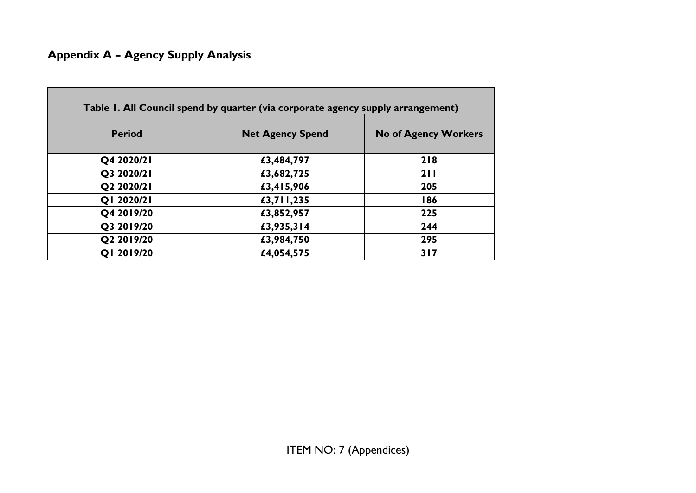# **Appendix A – Agency Supply Analysis**

| Table I. All Council spend by quarter (via corporate agency supply arrangement) |                         |                             |  |  |  |
|---------------------------------------------------------------------------------|-------------------------|-----------------------------|--|--|--|
| <b>Period</b>                                                                   | <b>Net Agency Spend</b> | <b>No of Agency Workers</b> |  |  |  |
| Q4 2020/21                                                                      | £3,484,797              | 218                         |  |  |  |
| Q3 2020/21                                                                      | £3,682,725              | 211                         |  |  |  |
| Q2 2020/21                                                                      | £3,415,906              | 205                         |  |  |  |
| Q1 2020/21                                                                      | £3,711,235              | 186                         |  |  |  |
| Q4 2019/20                                                                      | £3,852,957              | 225                         |  |  |  |
| Q3 2019/20                                                                      | £3,935,314              | 244                         |  |  |  |
| Q2 2019/20                                                                      | £3,984,750              | 295                         |  |  |  |
| Q1 2019/20                                                                      | £4,054,575              | 317                         |  |  |  |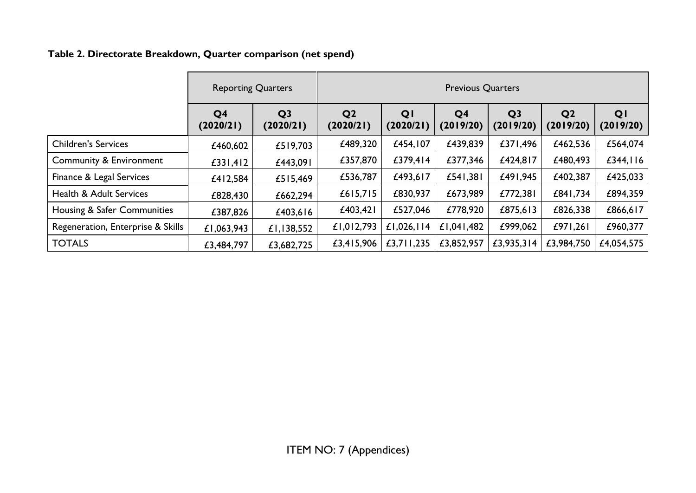# **Table 2. Directorate Breakdown, Quarter comparison (net spend)**

|                                    | <b>Reporting Quarters</b>   |                             | <b>Previous Quarters</b>    |                 |                             |                             |                             |                 |
|------------------------------------|-----------------------------|-----------------------------|-----------------------------|-----------------|-----------------------------|-----------------------------|-----------------------------|-----------------|
|                                    | Q <sub>4</sub><br>(2020/21) | Q <sub>3</sub><br>(2020/21) | Q <sub>2</sub><br>(2020/21) | QI<br>(2020/21) | Q <sub>4</sub><br>(2019/20) | Q <sub>3</sub><br>(2019/20) | Q <sub>2</sub><br>(2019/20) | QI<br>(2019/20) |
| <b>Children's Services</b>         | £460,602                    | £519,703                    | £489,320                    | £454,107        | £439,839                    | £371,496                    | £462,536                    | £564,074        |
| <b>Community &amp; Environment</b> | £331,412                    | £443,091                    | £357,870                    | £379,414        | £377,346                    | £424,817                    | £480,493                    | £344, $116$     |
| Finance & Legal Services           | £412,584                    | £515,469                    | £536,787                    | £493,617        | £541,381                    | £491,945                    | £402,387                    | £425,033        |
| <b>Health &amp; Adult Services</b> | £828,430                    | £662,294                    | £615,715                    | £830,937        | £673,989                    | £772,381                    | £841,734                    | £894,359        |
| Housing & Safer Communities        | £387,826                    | £403,616                    | £403,421                    | £527,046        | £778,920                    | £875,613                    | £826,338                    | £866,617        |
| Regeneration, Enterprise & Skills  | £1,063,943                  | £1,138,552                  | £1,012,793                  | £1,026,114      | £1,041,482                  | £999,062                    | £971,261                    | £960,377        |
| <b>TOTALS</b>                      | £3,484,797                  | £3,682,725                  | £3,415,906                  | £3,711,235      | £3,852,957                  | £3,935,314                  | £3,984,750                  | £4,054,575      |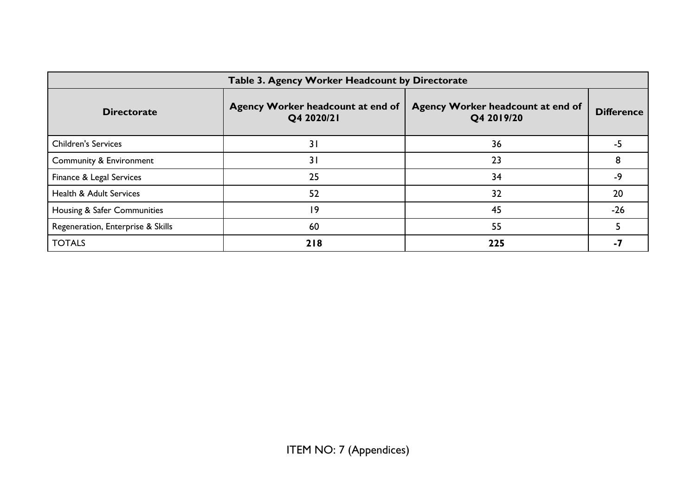| Table 3. Agency Worker Headcount by Directorate |                                                 |                                                 |                   |  |  |  |  |
|-------------------------------------------------|-------------------------------------------------|-------------------------------------------------|-------------------|--|--|--|--|
| <b>Directorate</b>                              | Agency Worker headcount at end of<br>Q4 2020/21 | Agency Worker headcount at end of<br>Q4 2019/20 | <b>Difference</b> |  |  |  |  |
| <b>Children's Services</b>                      | 31                                              | 36                                              | -5                |  |  |  |  |
| Community & Environment                         | 31                                              | 23                                              |                   |  |  |  |  |
| Finance & Legal Services                        | 25                                              | 34                                              | -9                |  |  |  |  |
| Health & Adult Services                         | 52                                              | 32                                              | 20                |  |  |  |  |
| Housing & Safer Communities                     | 19                                              | 45                                              | $-26$             |  |  |  |  |
| Regeneration, Enterprise & Skills               | 60                                              | 55                                              |                   |  |  |  |  |
| <b>TOTALS</b>                                   | 218                                             | 225                                             | -7                |  |  |  |  |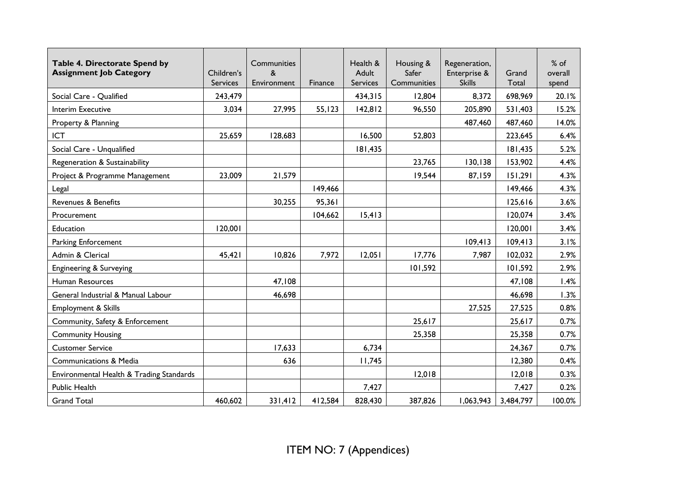| Table 4. Directorate Spend by<br><b>Assignment Job Category</b> | Children's<br>Services | Communities<br>&<br>Environment | <b>Finance</b> | Health &<br>Adult<br><b>Services</b> | Housing &<br>Safer<br>Communities | Regeneration,<br>Enterprise &<br><b>Skills</b> | Grand<br>Total | % of<br>overall<br>spend |
|-----------------------------------------------------------------|------------------------|---------------------------------|----------------|--------------------------------------|-----------------------------------|------------------------------------------------|----------------|--------------------------|
| Social Care - Qualified                                         | 243,479                |                                 |                | 434,315                              | 12,804                            | 8,372                                          | 698,969        | 20.1%                    |
| Interim Executive                                               | 3,034                  | 27,995                          | 55, 123        | 142,812                              | 96,550                            | 205,890                                        | 531,403        | 15.2%                    |
| Property & Planning                                             |                        |                                 |                |                                      |                                   | 487,460                                        | 487,460        | 14.0%                    |
| <b>ICT</b>                                                      | 25,659                 | 128,683                         |                | 16,500                               | 52,803                            |                                                | 223,645        | 6.4%                     |
| Social Care - Unqualified                                       |                        |                                 |                | 181,435                              |                                   |                                                | 181,435        | 5.2%                     |
| Regeneration & Sustainability                                   |                        |                                 |                |                                      | 23,765                            | 130,138                                        | 153,902        | 4.4%                     |
| Project & Programme Management                                  | 23,009                 | 21,579                          |                |                                      | 19,544                            | 87,159                                         | 151,291        | 4.3%                     |
| Legal                                                           |                        |                                 | 149,466        |                                      |                                   |                                                | 149,466        | 4.3%                     |
| Revenues & Benefits                                             |                        | 30,255                          | 95,361         |                                      |                                   |                                                | 125,616        | 3.6%                     |
| Procurement                                                     |                        |                                 | 104,662        | 15,413                               |                                   |                                                | 120,074        | 3.4%                     |
| Education                                                       | 120,001                |                                 |                |                                      |                                   |                                                | 120,001        | 3.4%                     |
| Parking Enforcement                                             |                        |                                 |                |                                      |                                   | 109,413                                        | 109,413        | 3.1%                     |
| Admin & Clerical                                                | 45,421                 | 10,826                          | 7,972          | 12,051                               | 17,776                            | 7,987                                          | 102,032        | 2.9%                     |
| Engineering & Surveying                                         |                        |                                 |                |                                      | 101,592                           |                                                | 101,592        | 2.9%                     |
| Human Resources                                                 |                        | 47,108                          |                |                                      |                                   |                                                | 47,108         | 1.4%                     |
| General Industrial & Manual Labour                              |                        | 46,698                          |                |                                      |                                   |                                                | 46,698         | 1.3%                     |
| Employment & Skills                                             |                        |                                 |                |                                      |                                   | 27,525                                         | 27,525         | 0.8%                     |
| Community, Safety & Enforcement                                 |                        |                                 |                |                                      | 25,617                            |                                                | 25,617         | 0.7%                     |
| <b>Community Housing</b>                                        |                        |                                 |                |                                      | 25,358                            |                                                | 25,358         | 0.7%                     |
| <b>Customer Service</b>                                         |                        | 17,633                          |                | 6,734                                |                                   |                                                | 24,367         | 0.7%                     |
| <b>Communications &amp; Media</b>                               |                        | 636                             |                | 11,745                               |                                   |                                                | 12,380         | 0.4%                     |
| Environmental Health & Trading Standards                        |                        |                                 |                |                                      | 12,018                            |                                                | 12,018         | 0.3%                     |
| Public Health                                                   |                        |                                 |                | 7,427                                |                                   |                                                | 7,427          | 0.2%                     |
| <b>Grand Total</b>                                              | 460,602                | 331,412                         | 412,584        | 828,430                              | 387,826                           | 1,063,943                                      | 3,484,797      | 100.0%                   |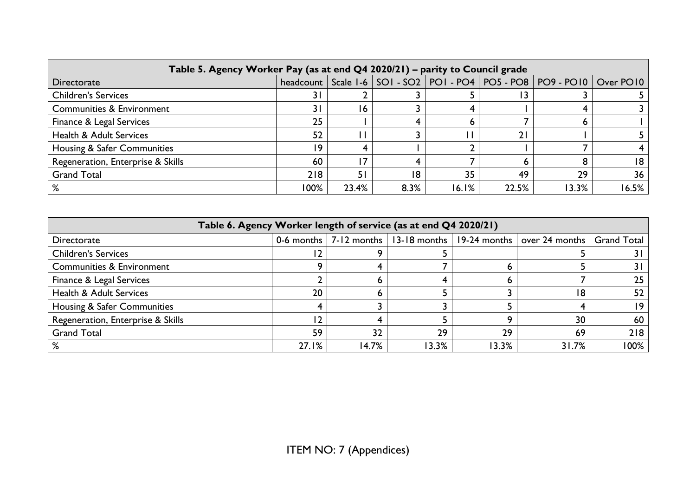| Table 5. Agency Worker Pay (as at end Q4 2020/21) - parity to Council grade |      |       |      |       |       |                                                                                    |       |
|-----------------------------------------------------------------------------|------|-------|------|-------|-------|------------------------------------------------------------------------------------|-------|
| Directorate                                                                 |      |       |      |       |       | headcount   Scale 1-6   SOI - SO2   POI - PO4   PO5 - PO8   PO9 - PO10   Over PO10 |       |
| <b>Children's Services</b>                                                  | 31   |       |      |       |       |                                                                                    |       |
| <b>Communities &amp; Environment</b>                                        | 3 I  | 16    |      |       |       |                                                                                    |       |
| Finance & Legal Services                                                    | 25   |       |      |       |       |                                                                                    |       |
| <b>Health &amp; Adult Services</b>                                          | 52   |       |      |       | 21    |                                                                                    |       |
| Housing & Safer Communities                                                 | 19   |       |      |       |       |                                                                                    |       |
| Regeneration, Enterprise & Skills                                           | 60   | 7     |      |       |       |                                                                                    | 18    |
| <b>Grand Total</b>                                                          | 218  | 51    | 18   | 35    | 49    | 29                                                                                 | 36    |
|                                                                             | 100% | 23.4% | 8.3% | 16.1% | 22.5% | 13.3%                                                                              | 16.5% |

| Table 6. Agency Worker length of service (as at end Q4 2020/21) |       |       |       |       |                                                                                 |                    |  |
|-----------------------------------------------------------------|-------|-------|-------|-------|---------------------------------------------------------------------------------|--------------------|--|
| Directorate                                                     |       |       |       |       | 0-6 months $ 7-12$ months $ 13-18$ months $ 19-24$ months $ over 24$ months $ $ | <b>Grand Total</b> |  |
| <b>Children's Services</b>                                      |       |       |       |       |                                                                                 | 3 I                |  |
| Communities & Environment                                       |       |       |       | n     |                                                                                 | 3 I                |  |
| Finance & Legal Services                                        |       |       |       |       |                                                                                 | 25                 |  |
| <b>Health &amp; Adult Services</b>                              | 20    |       |       |       | 18                                                                              | 52                 |  |
| Housing & Safer Communities                                     |       |       |       |       |                                                                                 | 19                 |  |
| Regeneration, Enterprise & Skills                               |       |       |       |       | 30                                                                              | 60                 |  |
| <b>Grand Total</b>                                              | 59    | 32    | 29    | 29    | 69                                                                              | 218                |  |
|                                                                 | 27.1% | 14.7% | 13.3% | 13.3% | 31.7%                                                                           | 100%               |  |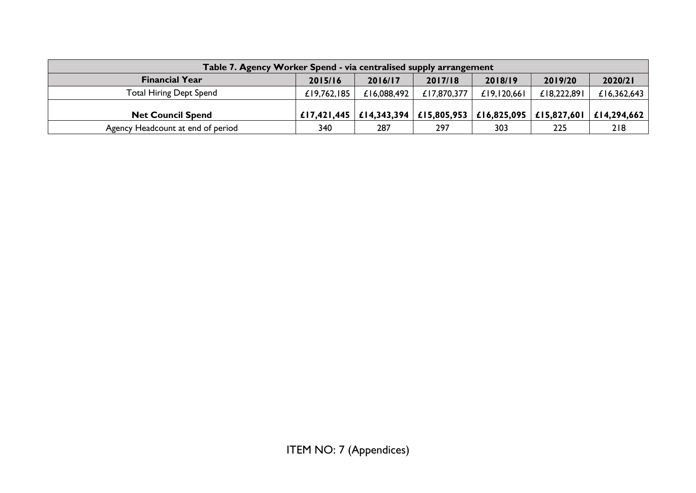| Table 7. Agency Worker Spend - via centralised supply arrangement |             |                                                                                 |             |             |                           |             |
|-------------------------------------------------------------------|-------------|---------------------------------------------------------------------------------|-------------|-------------|---------------------------|-------------|
| <b>Financial Year</b>                                             | 2015/16     | 2016/17                                                                         | 2017/18     | 2018/19     | 2019/20                   | 2020/21     |
| <b>Total Hiring Dept Spend</b>                                    | £19,762,185 | £16,088,492                                                                     | £17,870,377 | £19,120,661 | £18,222,891               | £16,362,643 |
| <b>Net Council Spend</b>                                          |             | £17,421,445 $\vert$ £14,343,394 $\vert$ £15,805,953 $\vert$ £16,825,095 $\vert$ |             |             | £15,827,601   £14,294,662 |             |
| Agency Headcount at end of period                                 | 340         | 287                                                                             | 297         | 303         | 225                       | 218         |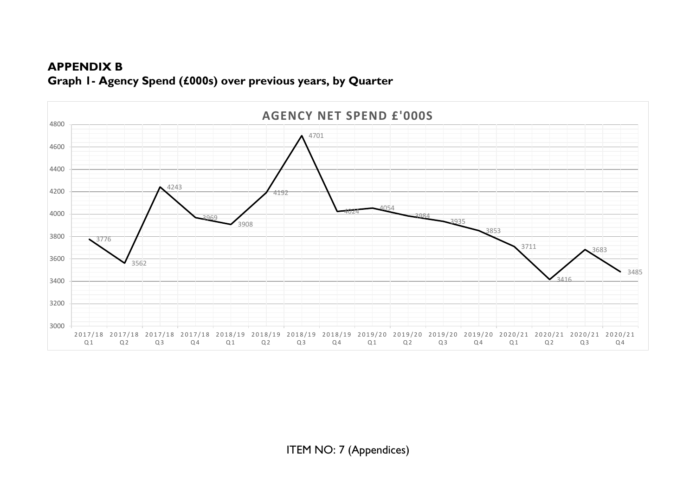# **APPENDIX B Graph 1- Agency Spend (£000s) over previous years, by Quarter**

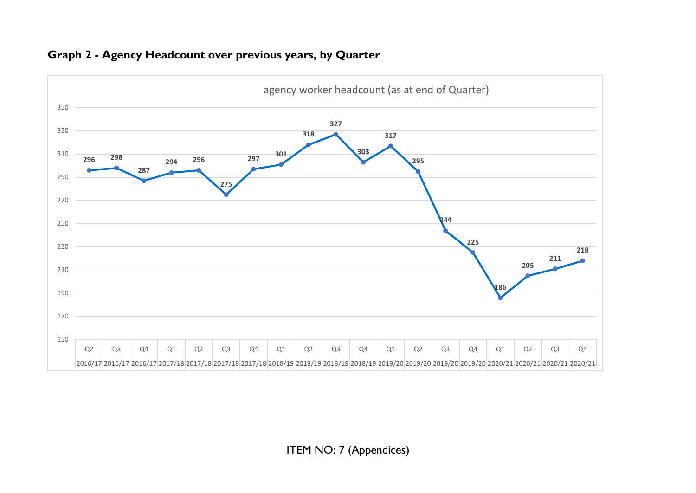

#### **Graph 2 - Agency Headcount over previous years, by Quarter**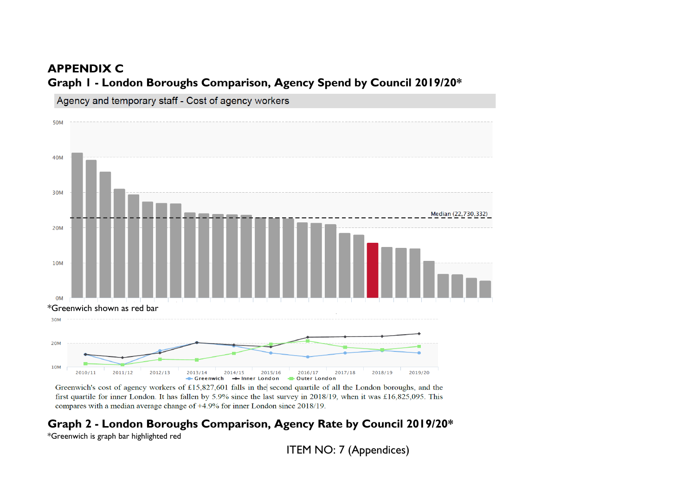## **APPENDIX C**

**Graph 1 - London Boroughs Comparison, Agency Spend by Council 2019/20\***



Greenwich's cost of agency workers of £15,827,601 falls in the second quartile of all the London boroughs, and the first quartile for inner London. It has fallen by 5.9% since the last survey in 2018/19, when it was £16,825,095. This compares with a median average change of  $+4.9\%$  for inner London since 2018/19.

# **Graph 2 - London Boroughs Comparison, Agency Rate by Council 2019/20\***

\*Greenwich is graph bar highlighted red

ITEM NO: 7 (Appendices)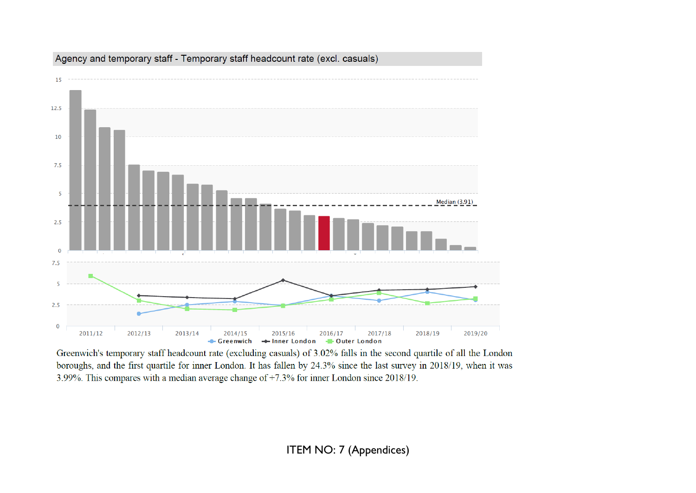

#### Agency and temporary staff - Temporary staff headcount rate (excl. casuals)

Greenwich's temporary staff headcount rate (excluding casuals) of 3.02% falls in the second quartile of all the London boroughs, and the first quartile for inner London. It has fallen by 24.3% since the last survey in 2018/19, when it was 3.99%. This compares with a median average change of  $+7.3\%$  for inner London since 2018/19.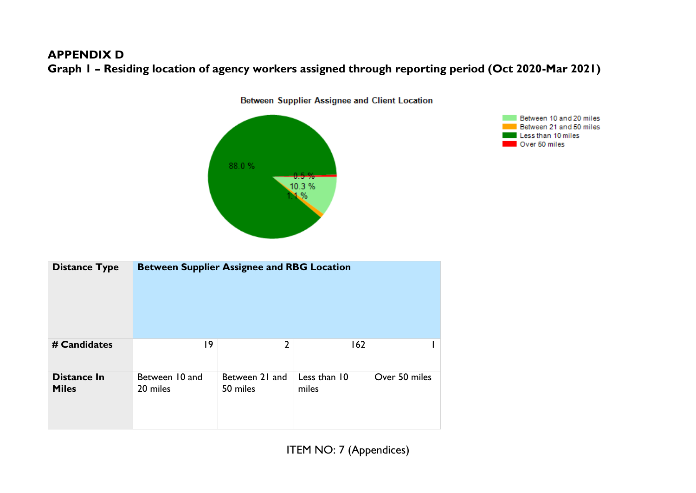## **APPENDIX D**

**Graph 1 – Residing location of agency workers assigned through reporting period (Oct 2020-Mar 2021)**



Between Supplier Assignee and Client Location



| <b>Distance Type</b>               | <b>Between Supplier Assignee and RBG Location</b> |                            |                       |               |
|------------------------------------|---------------------------------------------------|----------------------------|-----------------------|---------------|
| # Candidates                       | 19                                                | $\overline{2}$             | 162                   |               |
| <b>Distance In</b><br><b>Miles</b> | Between 10 and<br>20 miles                        | Between 21 and<br>50 miles | Less than 10<br>miles | Over 50 miles |

ITEM NO: 7 (Appendices)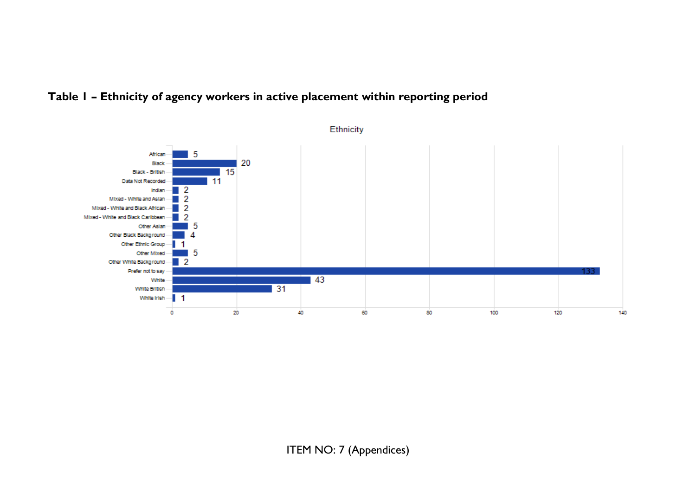

# **Table 1 – Ethnicity of agency workers in active placement within reporting period**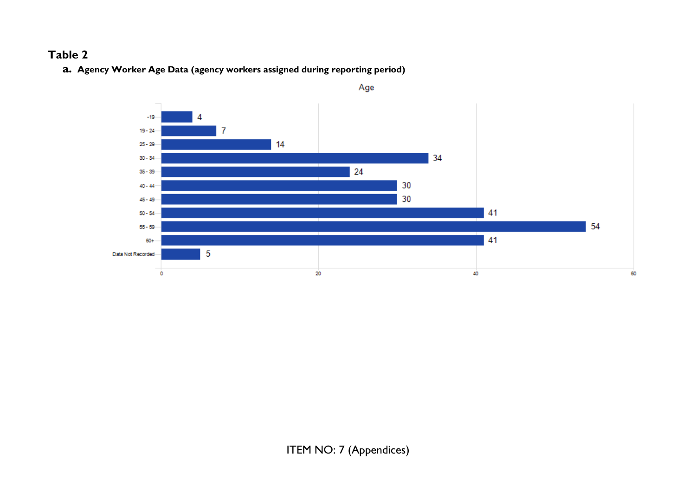# **Table 2**

**a. Agency Worker Age Data (agency workers assigned during reporting period)**

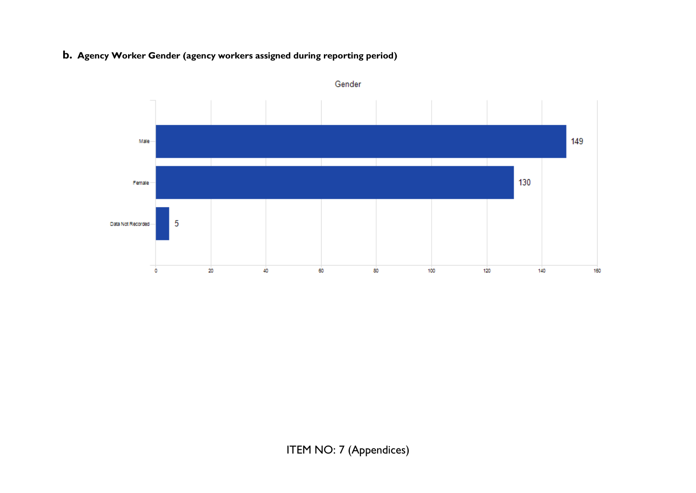#### **b. Agency Worker Gender (agency workers assigned during reporting period)**



Gender